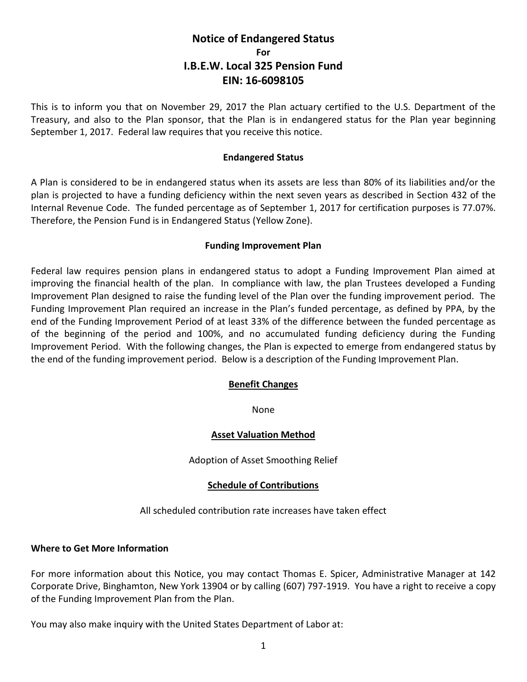# **Notice of Endangered Status For I.B.E.W. Local 325 Pension Fund EIN: 16-6098105**

This is to inform you that on November 29, 2017 the Plan actuary certified to the U.S. Department of the Treasury, and also to the Plan sponsor, that the Plan is in endangered status for the Plan year beginning September 1, 2017. Federal law requires that you receive this notice.

### **Endangered Status**

A Plan is considered to be in endangered status when its assets are less than 80% of its liabilities and/or the plan is projected to have a funding deficiency within the next seven years as described in Section 432 of the Internal Revenue Code. The funded percentage as of September 1, 2017 for certification purposes is 77.07%. Therefore, the Pension Fund is in Endangered Status (Yellow Zone).

## **Funding Improvement Plan**

Federal law requires pension plans in endangered status to adopt a Funding Improvement Plan aimed at improving the financial health of the plan. In compliance with law, the plan Trustees developed a Funding Improvement Plan designed to raise the funding level of the Plan over the funding improvement period. The Funding Improvement Plan required an increase in the Plan's funded percentage, as defined by PPA, by the end of the Funding Improvement Period of at least 33% of the difference between the funded percentage as of the beginning of the period and 100%, and no accumulated funding deficiency during the Funding Improvement Period. With the following changes, the Plan is expected to emerge from endangered status by the end of the funding improvement period. Below is a description of the Funding Improvement Plan.

## **Benefit Changes**

None

## **Asset Valuation Method**

Adoption of Asset Smoothing Relief

## **Schedule of Contributions**

All scheduled contribution rate increases have taken effect

## **Where to Get More Information**

For more information about this Notice, you may contact Thomas E. Spicer, Administrative Manager at 142 Corporate Drive, Binghamton, New York 13904 or by calling (607) 797-1919. You have a right to receive a copy of the Funding Improvement Plan from the Plan.

You may also make inquiry with the United States Department of Labor at: